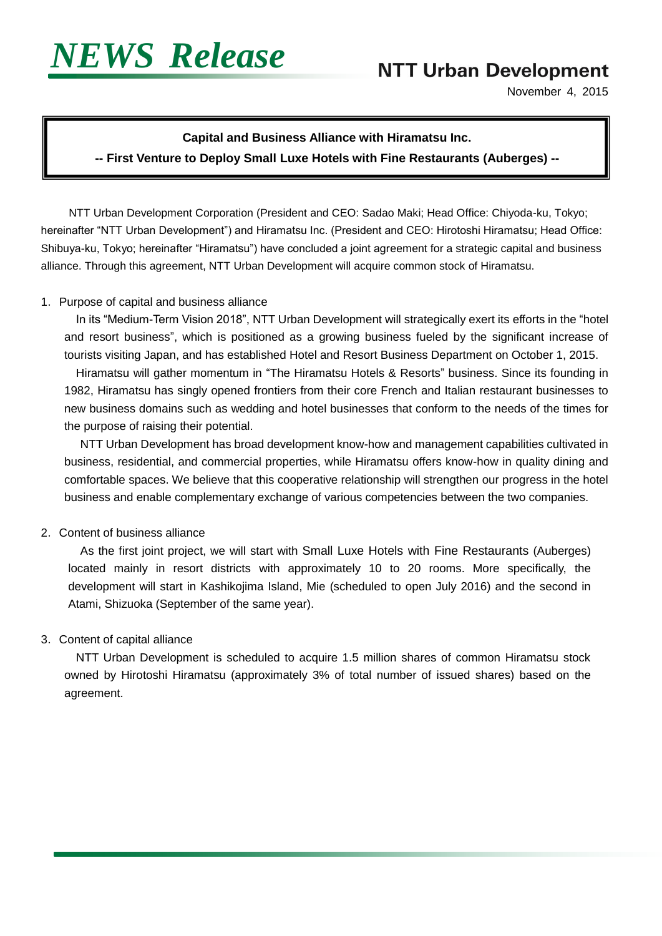

Ī

I

# **NTT Urban Development**

November 4, 2015

## **Capital and Business Alliance with Hiramatsu Inc. -- First Venture to Deploy Small Luxe Hotels with Fine Restaurants (Auberges) --**

 NTT Urban Development Corporation (President and CEO: Sadao Maki; Head Office: Chiyoda-ku, Tokyo; hereinafter "NTT Urban Development") and Hiramatsu Inc. (President and CEO: Hirotoshi Hiramatsu; Head Office: Shibuya-ku, Tokyo; hereinafter "Hiramatsu") have concluded a joint agreement for a strategic capital and business alliance. Through this agreement, NTT Urban Development will acquire common stock of Hiramatsu.

#### 1.Purpose of capital and business alliance

In its "Medium-Term Vision 2018", NTT Urban Development will strategically exert its efforts in the "hotel and resort business", which is positioned as a growing business fueled by the significant increase of tourists visiting Japan, and has established Hotel and Resort Business Department on October 1, 2015.

Hiramatsu will gather momentum in "The Hiramatsu Hotels & Resorts" business. Since its founding in 1982, Hiramatsu has singly opened frontiers from their core French and Italian restaurant businesses to new business domains such as wedding and hotel businesses that conform to the needs of the times for the purpose of raising their potential.

NTT Urban Development has broad development know-how and management capabilities cultivated in business, residential, and commercial properties, while Hiramatsu offers know-how in quality dining and comfortable spaces. We believe that this cooperative relationship will strengthen our progress in the hotel business and enable complementary exchange of various competencies between the two companies.

### 2.Content of business alliance

As the first joint project, we will start with Small Luxe Hotels with Fine Restaurants (Auberges) located mainly in resort districts with approximately 10 to 20 rooms. More specifically, the development will start in Kashikojima Island, Mie (scheduled to open July 2016) and the second in Atami, Shizuoka (September of the same year).

### 3.Content of capital alliance

NTT Urban Development is scheduled to acquire 1.5 million shares of common Hiramatsu stock owned by Hirotoshi Hiramatsu (approximately 3% of total number of issued shares) based on the agreement.